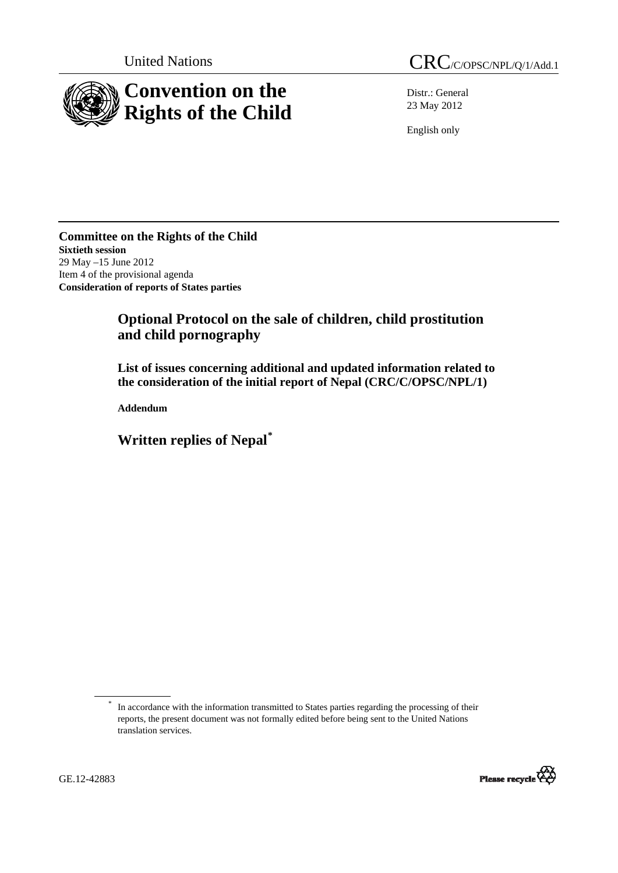

Distr.: General 23 May 2012

English only

**Committee on the Rights of the Child Sixtieth session**  29 May –15 June 2012 Item 4 of the provisional agenda **Consideration of reports of States parties** 

## **Optional Protocol on the sale of children, child prostitution and child pornography**

 **List of issues concerning additional and updated information related to the consideration of the initial report of Nepal (CRC/C/OPSC/NPL/1)** 

 **Addendum** 

**Written replies of Nepal**\*

<sup>\*</sup> In accordance with the information transmitted to States parties regarding the processing of their reports, the present document was not formally edited before being sent to the United Nations translation services.

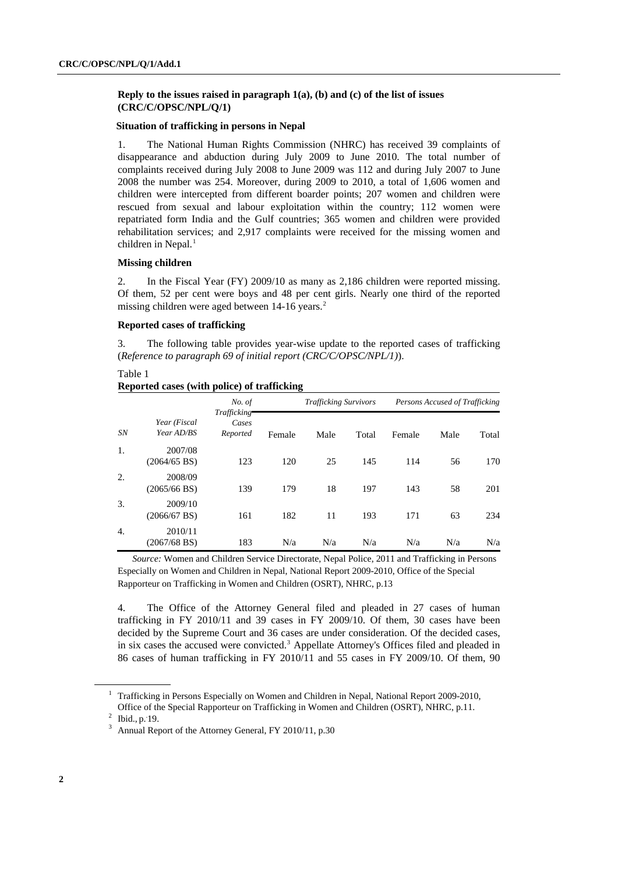## **Reply to the issues raised in paragraph 1(a), (b) and (c) of the list of issues (CRC/C/OPSC/NPL/Q/1)**

## **Situation of trafficking in persons in Nepal**

1. The National Human Rights Commission (NHRC) has received 39 complaints of disappearance and abduction during July 2009 to June 2010. The total number of complaints received during July 2008 to June 2009 was 112 and during July 2007 to June 2008 the number was 254. Moreover, during 2009 to 2010, a total of 1,606 women and children were intercepted from different boarder points; 207 women and children were rescued from sexual and labour exploitation within the country; 112 women were repatriated form India and the Gulf countries; 365 women and children were provided rehabilitation services; and 2,917 complaints were received for the missing women and children in Nepal. $<sup>1</sup>$ </sup>

## **Missing children**

2. In the Fiscal Year (FY) 2009/10 as many as 2,186 children were reported missing. Of them, 52 per cent were boys and 48 per cent girls. Nearly one third of the reported missing children were aged between  $14-16$  years.<sup>2</sup>

#### **Reported cases of trafficking**

3. The following table provides year-wise update to the reported cases of trafficking (*Reference to paragraph 69 of initial report (CRC/C/OPSC/NPL/1)*).

## Table 1 **Reported cases (with police) of trafficking**

|    |                                   | <b>Trafficking Survivors</b>     |        |      | Persons Accused of Trafficking |        |      |       |
|----|-----------------------------------|----------------------------------|--------|------|--------------------------------|--------|------|-------|
| SN | Year (Fiscal<br>Year AD/BS        | Trafficking<br>Cases<br>Reported | Female | Male | Total                          | Female | Male | Total |
| 1. | 2007/08<br>$(2064/65 \text{ BS})$ | 123                              | 120    | 25   | 145                            | 114    | 56   | 170   |
| 2. | 2008/09<br>$(2065/66 \text{ BS})$ | 139                              | 179    | 18   | 197                            | 143    | 58   | 201   |
| 3. | 2009/10<br>$(2066/67 \text{ BS})$ | 161                              | 182    | 11   | 193                            | 171    | 63   | 234   |
| 4. | 2010/11<br>$(2067/68 \text{ BS})$ | 183                              | N/a    | N/a  | N/a                            | N/a    | N/a  | N/a   |

*Source:* Women and Children Service Directorate, Nepal Police, 2011 and Trafficking in Persons Especially on Women and Children in Nepal, National Report 2009-2010, Office of the Special Rapporteur on Trafficking in Women and Children (OSRT), NHRC, p.13

4. The Office of the Attorney General filed and pleaded in 27 cases of human trafficking in FY 2010/11 and 39 cases in FY 2009/10. Of them, 30 cases have been decided by the Supreme Court and 36 cases are under consideration. Of the decided cases, in six cases the accused were convicted.<sup>3</sup> Appellate Attorney's Offices filed and pleaded in 86 cases of human trafficking in FY 2010/11 and 55 cases in FY 2009/10. Of them, 90

 $1$  Trafficking in Persons Especially on Women and Children in Nepal, National Report 2009-2010, Office of the Special Rapporteur on Trafficking in Women and Children (OSRT), NHRC, p.11.

<sup>&</sup>lt;sup>2</sup> Ibid., p. 19.

 $3$  Annual Report of the Attorney General, FY 2010/11, p.30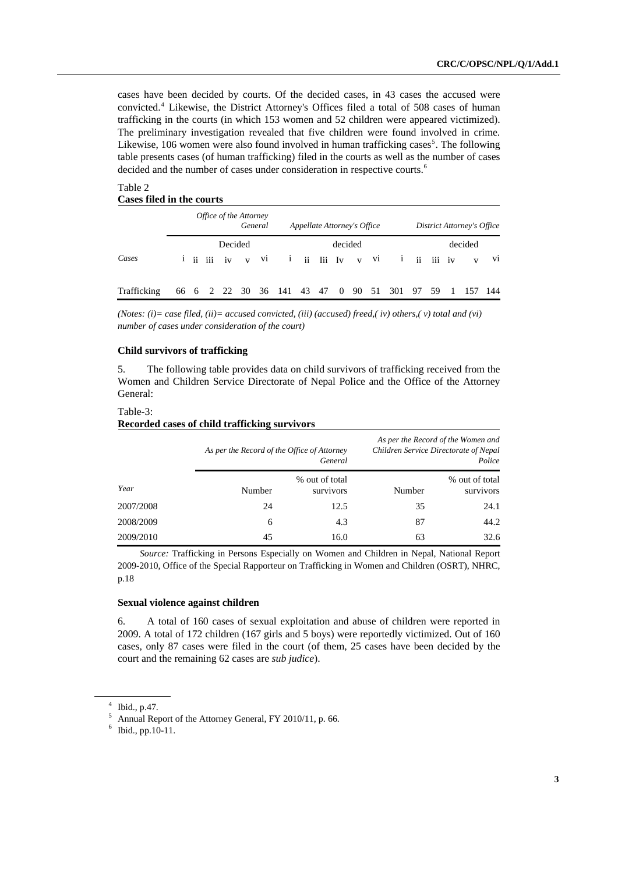cases have been decided by courts. Of the decided cases, in 43 cases the accused were convicted.<sup>4</sup> Likewise, the District Attorney's Offices filed a total of 508 cases of human trafficking in the courts (in which 153 women and 52 children were appeared victimized). The preliminary investigation revealed that five children were found involved in crime. Likewise, 106 women were also found involved in human trafficking cases<sup>5</sup>. The following table presents cases (of human trafficking) filed in the courts as well as the number of cases decided and the number of cases under consideration in respective courts.<sup>6</sup>

## Table 2 **Cases filed in the courts**

|             |  | Office of the Attorney | General | Appellate Attorney's Office |         |  |                                                           |  | District Attorney's Office |    |
|-------------|--|------------------------|---------|-----------------------------|---------|--|-----------------------------------------------------------|--|----------------------------|----|
| Cases       |  | Decided                |         |                             | decided |  | $i$ ii iii iv v $vi$ i ii $1$ Iii $Iv$ v $vi$ i ii iii iv |  | decided                    | V1 |
| Trafficking |  |                        |         |                             |         |  | 66 6 2 22 30 36 141 43 47 0 90 51 301 97 59               |  | 1 157 144                  |    |

*(Notes: (i)= case filed, (ii)= accused convicted, (iii) (accused) freed,( iv) others,( v) total and (vi) number of cases under consideration of the court)* 

## **Child survivors of trafficking**

5. The following table provides data on child survivors of trafficking received from the Women and Children Service Directorate of Nepal Police and the Office of the Attorney General:

#### Table-3:

#### **Recorded cases of child trafficking survivors**

|           | As per the Record of the Office of Attorney | General                     |        | As per the Record of the Women and<br>Children Service Directorate of Nepal<br>Police |
|-----------|---------------------------------------------|-----------------------------|--------|---------------------------------------------------------------------------------------|
| Year      | Number                                      | % out of total<br>survivors | Number | % out of total<br>survivors                                                           |
| 2007/2008 | 24                                          | 12.5                        | 35     | 24.1                                                                                  |
| 2008/2009 | 6                                           | 4.3                         | 87     | 44.2                                                                                  |
| 2009/2010 | 45                                          | 16.0                        | 63     | 32.6                                                                                  |

*Source:* Trafficking in Persons Especially on Women and Children in Nepal, National Report 2009-2010, Office of the Special Rapporteur on Trafficking in Women and Children (OSRT), NHRC, p.18

#### **Sexual violence against children**

6. A total of 160 cases of sexual exploitation and abuse of children were reported in 2009. A total of 172 children (167 girls and 5 boys) were reportedly victimized. Out of 160 cases, only 87 cases were filed in the court (of them, 25 cases have been decided by the court and the remaining 62 cases are *sub judice*).

<sup>4</sup> Ibid., p.47.

<sup>5</sup> Annual Report of the Attorney General, FY 2010/11, p. 66.

 $6$  Ibid., pp.10-11.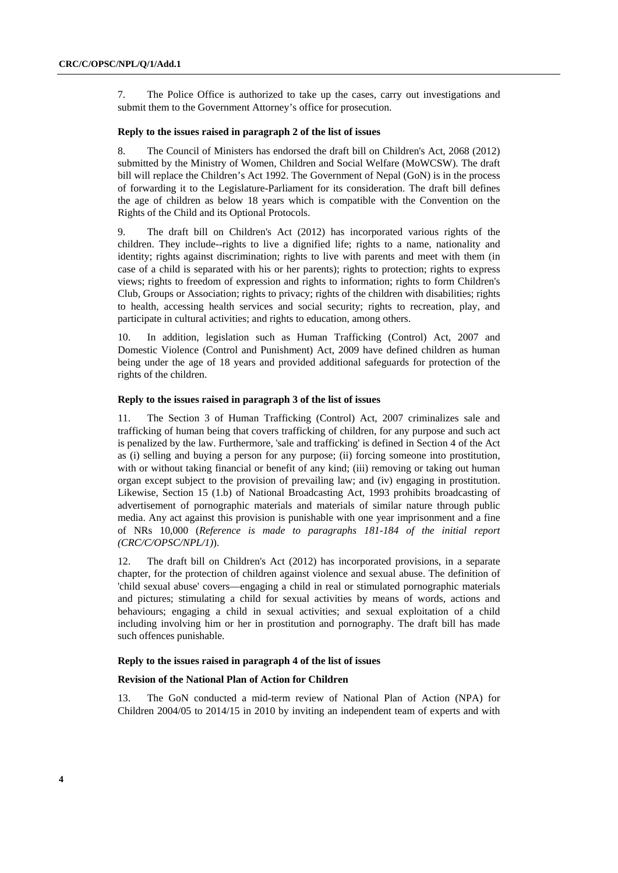7. The Police Office is authorized to take up the cases, carry out investigations and submit them to the Government Attorney's office for prosecution.

## **Reply to the issues raised in paragraph 2 of the list of issues**

8. The Council of Ministers has endorsed the draft bill on Children's Act, 2068 (2012) submitted by the Ministry of Women, Children and Social Welfare (MoWCSW). The draft bill will replace the Children's Act 1992. The Government of Nepal (GoN) is in the process of forwarding it to the Legislature-Parliament for its consideration. The draft bill defines the age of children as below 18 years which is compatible with the Convention on the Rights of the Child and its Optional Protocols.

9. The draft bill on Children's Act (2012) has incorporated various rights of the children. They include--rights to live a dignified life; rights to a name, nationality and identity; rights against discrimination; rights to live with parents and meet with them (in case of a child is separated with his or her parents); rights to protection; rights to express views; rights to freedom of expression and rights to information; rights to form Children's Club, Groups or Association; rights to privacy; rights of the children with disabilities; rights to health, accessing health services and social security; rights to recreation, play, and participate in cultural activities; and rights to education, among others.

10. In addition, legislation such as Human Trafficking (Control) Act, 2007 and Domestic Violence (Control and Punishment) Act, 2009 have defined children as human being under the age of 18 years and provided additional safeguards for protection of the rights of the children.

#### **Reply to the issues raised in paragraph 3 of the list of issues**

11. The Section 3 of Human Trafficking (Control) Act, 2007 criminalizes sale and trafficking of human being that covers trafficking of children, for any purpose and such act is penalized by the law. Furthermore, 'sale and trafficking' is defined in Section 4 of the Act as (i) selling and buying a person for any purpose; (ii) forcing someone into prostitution, with or without taking financial or benefit of any kind; (iii) removing or taking out human organ except subject to the provision of prevailing law; and (iv) engaging in prostitution. Likewise, Section 15 (1.b) of National Broadcasting Act, 1993 prohibits broadcasting of advertisement of pornographic materials and materials of similar nature through public media. Any act against this provision is punishable with one year imprisonment and a fine of NRs 10,000 (*Reference is made to paragraphs 181-184 of the initial report (CRC/C/OPSC/NPL/1)*).

12. The draft bill on Children's Act (2012) has incorporated provisions, in a separate chapter, for the protection of children against violence and sexual abuse. The definition of 'child sexual abuse' covers—engaging a child in real or stimulated pornographic materials and pictures; stimulating a child for sexual activities by means of words, actions and behaviours; engaging a child in sexual activities; and sexual exploitation of a child including involving him or her in prostitution and pornography. The draft bill has made such offences punishable.

#### **Reply to the issues raised in paragraph 4 of the list of issues**

#### **Revision of the National Plan of Action for Children**

13. The GoN conducted a mid-term review of National Plan of Action (NPA) for Children 2004/05 to 2014/15 in 2010 by inviting an independent team of experts and with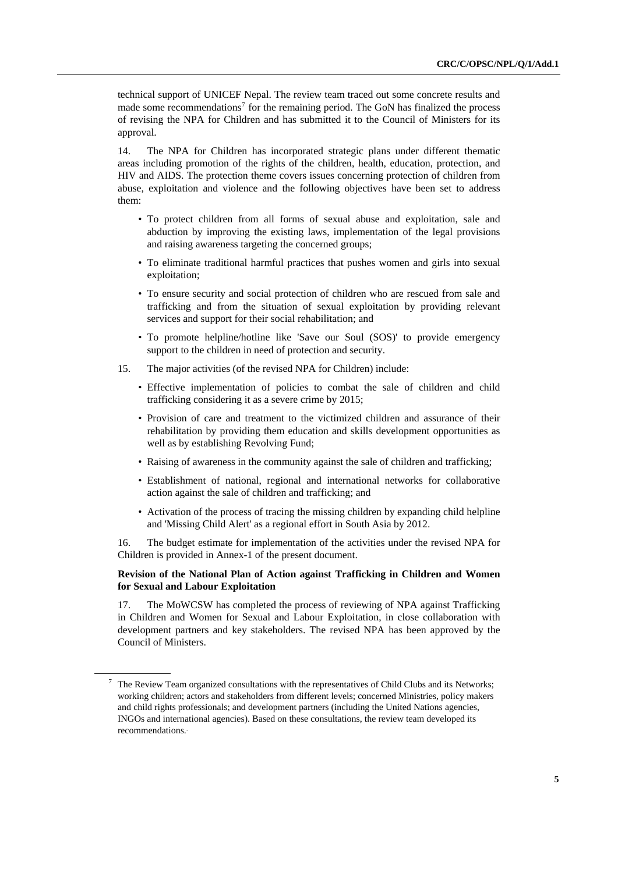technical support of UNICEF Nepal. The review team traced out some concrete results and made some recommendations<sup>7</sup> for the remaining period. The GoN has finalized the process of revising the NPA for Children and has submitted it to the Council of Ministers for its approval.

14. The NPA for Children has incorporated strategic plans under different thematic areas including promotion of the rights of the children, health, education, protection, and HIV and AIDS. The protection theme covers issues concerning protection of children from abuse, exploitation and violence and the following objectives have been set to address them:

- To protect children from all forms of sexual abuse and exploitation, sale and abduction by improving the existing laws, implementation of the legal provisions and raising awareness targeting the concerned groups;
- To eliminate traditional harmful practices that pushes women and girls into sexual exploitation;
- To ensure security and social protection of children who are rescued from sale and trafficking and from the situation of sexual exploitation by providing relevant services and support for their social rehabilitation; and
- To promote helpline/hotline like 'Save our Soul (SOS)' to provide emergency support to the children in need of protection and security.
- 15. The major activities (of the revised NPA for Children) include:
	- Effective implementation of policies to combat the sale of children and child trafficking considering it as a severe crime by 2015;
	- Provision of care and treatment to the victimized children and assurance of their rehabilitation by providing them education and skills development opportunities as well as by establishing Revolving Fund;
	- Raising of awareness in the community against the sale of children and trafficking;
	- Establishment of national, regional and international networks for collaborative action against the sale of children and trafficking; and
	- Activation of the process of tracing the missing children by expanding child helpline and 'Missing Child Alert' as a regional effort in South Asia by 2012.

16. The budget estimate for implementation of the activities under the revised NPA for Children is provided in Annex-1 of the present document.

## **Revision of the National Plan of Action against Trafficking in Children and Women for Sexual and Labour Exploitation**

17. The MoWCSW has completed the process of reviewing of NPA against Trafficking in Children and Women for Sexual and Labour Exploitation, in close collaboration with development partners and key stakeholders. The revised NPA has been approved by the Council of Ministers.

<sup>7</sup> The Review Team organized consultations with the representatives of Child Clubs and its Networks; working children; actors and stakeholders from different levels; concerned Ministries, policy makers and child rights professionals; and development partners (including the United Nations agencies, INGOs and international agencies). Based on these consultations, the review team developed its recommendations..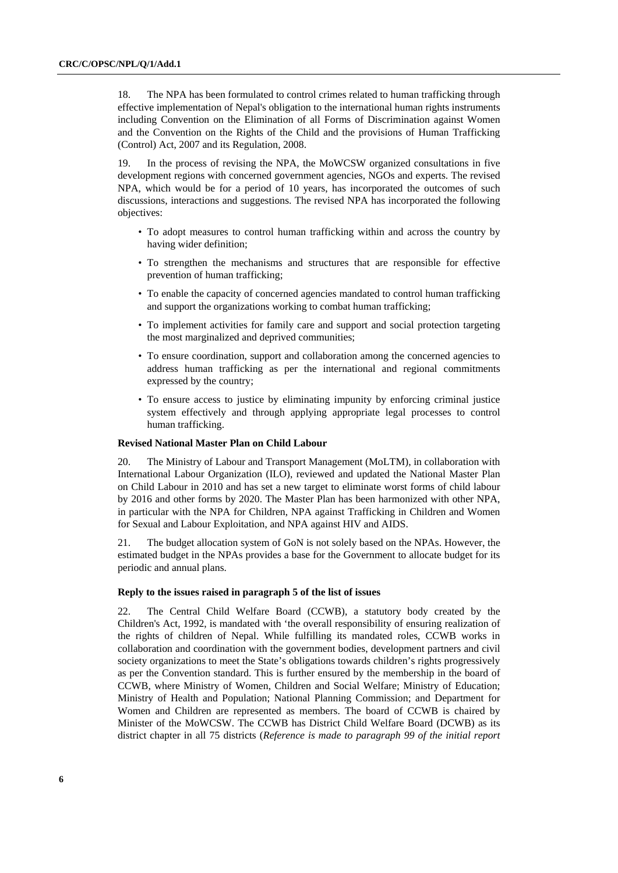18. The NPA has been formulated to control crimes related to human trafficking through effective implementation of Nepal's obligation to the international human rights instruments including Convention on the Elimination of all Forms of Discrimination against Women and the Convention on the Rights of the Child and the provisions of Human Trafficking (Control) Act, 2007 and its Regulation, 2008.

19. In the process of revising the NPA, the MoWCSW organized consultations in five development regions with concerned government agencies, NGOs and experts. The revised NPA, which would be for a period of 10 years, has incorporated the outcomes of such discussions, interactions and suggestions. The revised NPA has incorporated the following objectives:

- To adopt measures to control human trafficking within and across the country by having wider definition;
- To strengthen the mechanisms and structures that are responsible for effective prevention of human trafficking;
- To enable the capacity of concerned agencies mandated to control human trafficking and support the organizations working to combat human trafficking;
- To implement activities for family care and support and social protection targeting the most marginalized and deprived communities;
- To ensure coordination, support and collaboration among the concerned agencies to address human trafficking as per the international and regional commitments expressed by the country;
- To ensure access to justice by eliminating impunity by enforcing criminal justice system effectively and through applying appropriate legal processes to control human trafficking.

## **Revised National Master Plan on Child Labour**

20. The Ministry of Labour and Transport Management (MoLTM), in collaboration with International Labour Organization (ILO), reviewed and updated the National Master Plan on Child Labour in 2010 and has set a new target to eliminate worst forms of child labour by 2016 and other forms by 2020. The Master Plan has been harmonized with other NPA, in particular with the NPA for Children, NPA against Trafficking in Children and Women for Sexual and Labour Exploitation, and NPA against HIV and AIDS.

21. The budget allocation system of GoN is not solely based on the NPAs. However, the estimated budget in the NPAs provides a base for the Government to allocate budget for its periodic and annual plans.

#### **Reply to the issues raised in paragraph 5 of the list of issues**

22. The Central Child Welfare Board (CCWB), a statutory body created by the Children's Act, 1992, is mandated with 'the overall responsibility of ensuring realization of the rights of children of Nepal. While fulfilling its mandated roles, CCWB works in collaboration and coordination with the government bodies, development partners and civil society organizations to meet the State's obligations towards children's rights progressively as per the Convention standard. This is further ensured by the membership in the board of CCWB, where Ministry of Women, Children and Social Welfare; Ministry of Education; Ministry of Health and Population; National Planning Commission; and Department for Women and Children are represented as members. The board of CCWB is chaired by Minister of the MoWCSW. The CCWB has District Child Welfare Board (DCWB) as its district chapter in all 75 districts (*Reference is made to paragraph 99 of the initial report*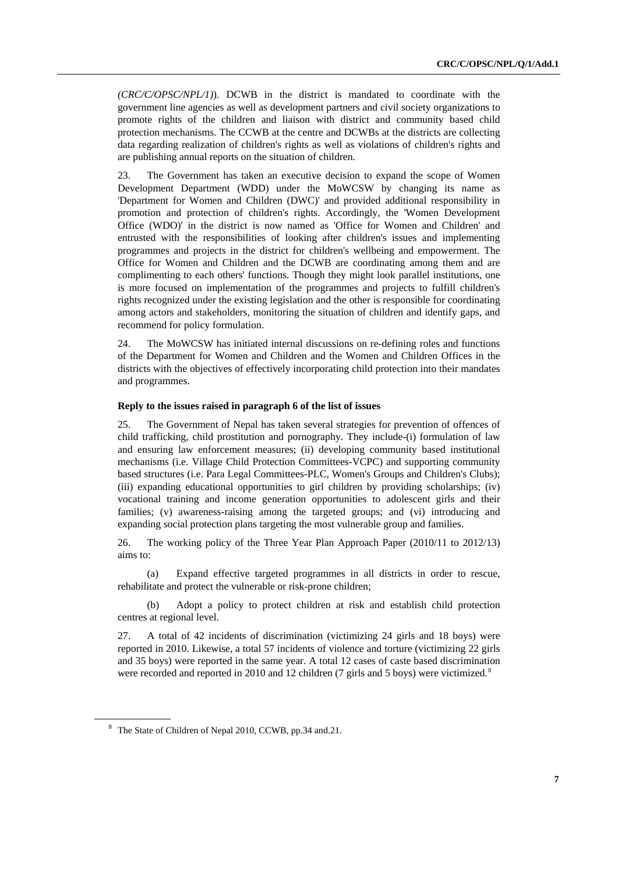*(CRC/C/OPSC/NPL/1)*). DCWB in the district is mandated to coordinate with the government line agencies as well as development partners and civil society organizations to promote rights of the children and liaison with district and community based child protection mechanisms. The CCWB at the centre and DCWBs at the districts are collecting data regarding realization of children's rights as well as violations of children's rights and are publishing annual reports on the situation of children.

23. The Government has taken an executive decision to expand the scope of Women Development Department (WDD) under the MoWCSW by changing its name as 'Department for Women and Children (DWC)' and provided additional responsibility in promotion and protection of children's rights. Accordingly, the 'Women Development Office (WDO)' in the district is now named as 'Office for Women and Children' and entrusted with the responsibilities of looking after children's issues and implementing programmes and projects in the district for children's wellbeing and empowerment. The Office for Women and Children and the DCWB are coordinating among them and are complimenting to each others' functions. Though they might look parallel institutions, one is more focused on implementation of the programmes and projects to fulfill children's rights recognized under the existing legislation and the other is responsible for coordinating among actors and stakeholders, monitoring the situation of children and identify gaps, and recommend for policy formulation.

24. The MoWCSW has initiated internal discussions on re-defining roles and functions of the Department for Women and Children and the Women and Children Offices in the districts with the objectives of effectively incorporating child protection into their mandates and programmes.

## **Reply to the issues raised in paragraph 6 of the list of issues**

25. The Government of Nepal has taken several strategies for prevention of offences of child trafficking, child prostitution and pornography. They include-(i) formulation of law and ensuring law enforcement measures; (ii) developing community based institutional mechanisms (i.e. Village Child Protection Committees-VCPC) and supporting community based structures (i.e. Para Legal Committees-PLC, Women's Groups and Children's Clubs); (iii) expanding educational opportunities to girl children by providing scholarships; (iv) vocational training and income generation opportunities to adolescent girls and their families; (v) awareness-raising among the targeted groups; and (vi) introducing and expanding social protection plans targeting the most vulnerable group and families.

26. The working policy of the Three Year Plan Approach Paper (2010/11 to 2012/13) aims to:

(a) Expand effective targeted programmes in all districts in order to rescue, rehabilitate and protect the vulnerable or risk-prone children;

(b) Adopt a policy to protect children at risk and establish child protection centres at regional level.

27. A total of 42 incidents of discrimination (victimizing 24 girls and 18 boys) were reported in 2010. Likewise, a total 57 incidents of violence and torture (victimizing 22 girls and 35 boys) were reported in the same year. A total 12 cases of caste based discrimination were recorded and reported in 2010 and 12 children (7 girls and 5 boys) were victimized.<sup>8</sup>

<sup>&</sup>lt;sup>8</sup> The State of Children of Nepal 2010, CCWB, pp.34 and.21.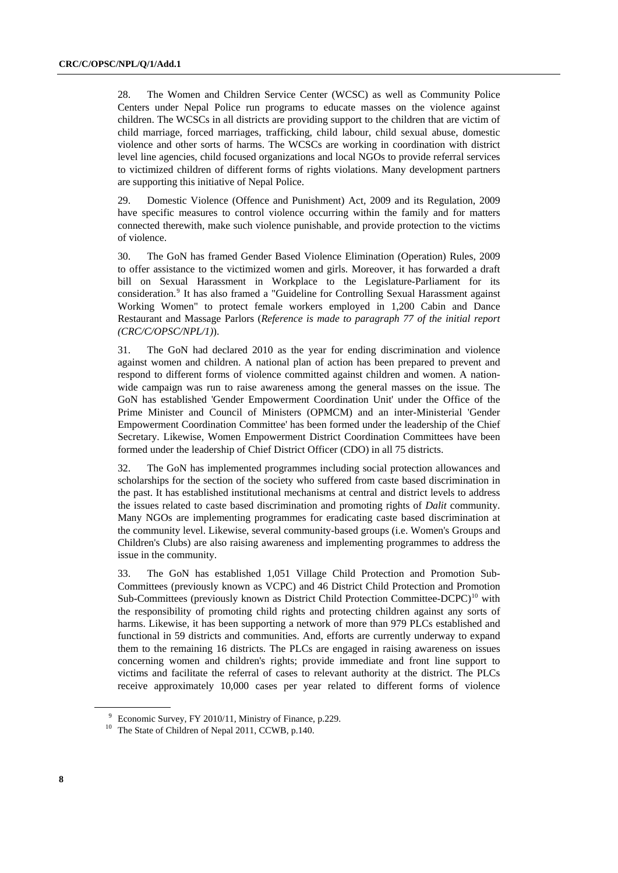28. The Women and Children Service Center (WCSC) as well as Community Police Centers under Nepal Police run programs to educate masses on the violence against children. The WCSCs in all districts are providing support to the children that are victim of child marriage, forced marriages, trafficking, child labour, child sexual abuse, domestic violence and other sorts of harms. The WCSCs are working in coordination with district level line agencies, child focused organizations and local NGOs to provide referral services to victimized children of different forms of rights violations. Many development partners are supporting this initiative of Nepal Police.

29. Domestic Violence (Offence and Punishment) Act, 2009 and its Regulation, 2009 have specific measures to control violence occurring within the family and for matters connected therewith, make such violence punishable, and provide protection to the victims of violence.

30. The GoN has framed Gender Based Violence Elimination (Operation) Rules, 2009 to offer assistance to the victimized women and girls. Moreover, it has forwarded a draft bill on Sexual Harassment in Workplace to the Legislature-Parliament for its consideration.<sup>9</sup> It has also framed a "Guideline for Controlling Sexual Harassment against Working Women" to protect female workers employed in 1,200 Cabin and Dance Restaurant and Massage Parlors (*Reference is made to paragraph 77 of the initial report (CRC/C/OPSC/NPL/1)*).

31. The GoN had declared 2010 as the year for ending discrimination and violence against women and children. A national plan of action has been prepared to prevent and respond to different forms of violence committed against children and women. A nationwide campaign was run to raise awareness among the general masses on the issue. The GoN has established 'Gender Empowerment Coordination Unit' under the Office of the Prime Minister and Council of Ministers (OPMCM) and an inter-Ministerial 'Gender Empowerment Coordination Committee' has been formed under the leadership of the Chief Secretary. Likewise, Women Empowerment District Coordination Committees have been formed under the leadership of Chief District Officer (CDO) in all 75 districts.

32. The GoN has implemented programmes including social protection allowances and scholarships for the section of the society who suffered from caste based discrimination in the past. It has established institutional mechanisms at central and district levels to address the issues related to caste based discrimination and promoting rights of *Dalit* community. Many NGOs are implementing programmes for eradicating caste based discrimination at the community level. Likewise, several community-based groups (i.e. Women's Groups and Children's Clubs) are also raising awareness and implementing programmes to address the issue in the community.

33. The GoN has established 1,051 Village Child Protection and Promotion Sub-Committees (previously known as VCPC) and 46 District Child Protection and Promotion Sub-Committees (previously known as District Child Protection Committee-DCPC)<sup>10</sup> with the responsibility of promoting child rights and protecting children against any sorts of harms. Likewise, it has been supporting a network of more than 979 PLCs established and functional in 59 districts and communities. And, efforts are currently underway to expand them to the remaining 16 districts. The PLCs are engaged in raising awareness on issues concerning women and children's rights; provide immediate and front line support to victims and facilitate the referral of cases to relevant authority at the district. The PLCs receive approximately 10,000 cases per year related to different forms of violence

<sup>9</sup> Economic Survey, FY 2010/11, Ministry of Finance, p.229.

<sup>&</sup>lt;sup>10</sup> The State of Children of Nepal 2011, CCWB, p.140.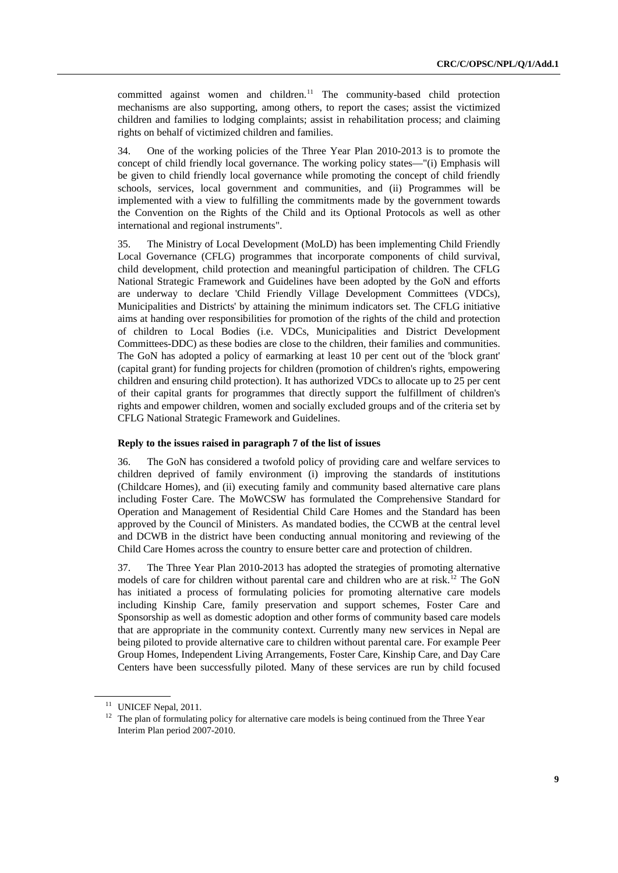committed against women and children.<sup>11</sup> The community-based child protection mechanisms are also supporting, among others, to report the cases; assist the victimized children and families to lodging complaints; assist in rehabilitation process; and claiming rights on behalf of victimized children and families.

34. One of the working policies of the Three Year Plan 2010-2013 is to promote the concept of child friendly local governance. The working policy states—"(i) Emphasis will be given to child friendly local governance while promoting the concept of child friendly schools, services, local government and communities, and (ii) Programmes will be implemented with a view to fulfilling the commitments made by the government towards the Convention on the Rights of the Child and its Optional Protocols as well as other international and regional instruments".

35. The Ministry of Local Development (MoLD) has been implementing Child Friendly Local Governance (CFLG) programmes that incorporate components of child survival, child development, child protection and meaningful participation of children. The CFLG National Strategic Framework and Guidelines have been adopted by the GoN and efforts are underway to declare 'Child Friendly Village Development Committees (VDCs), Municipalities and Districts' by attaining the minimum indicators set. The CFLG initiative aims at handing over responsibilities for promotion of the rights of the child and protection of children to Local Bodies (i.e. VDCs, Municipalities and District Development Committees-DDC) as these bodies are close to the children, their families and communities. The GoN has adopted a policy of earmarking at least 10 per cent out of the 'block grant' (capital grant) for funding projects for children (promotion of children's rights, empowering children and ensuring child protection). It has authorized VDCs to allocate up to 25 per cent of their capital grants for programmes that directly support the fulfillment of children's rights and empower children, women and socially excluded groups and of the criteria set by CFLG National Strategic Framework and Guidelines.

#### **Reply to the issues raised in paragraph 7 of the list of issues**

36. The GoN has considered a twofold policy of providing care and welfare services to children deprived of family environment (i) improving the standards of institutions (Childcare Homes), and (ii) executing family and community based alternative care plans including Foster Care. The MoWCSW has formulated the Comprehensive Standard for Operation and Management of Residential Child Care Homes and the Standard has been approved by the Council of Ministers. As mandated bodies, the CCWB at the central level and DCWB in the district have been conducting annual monitoring and reviewing of the Child Care Homes across the country to ensure better care and protection of children.

37. The Three Year Plan 2010-2013 has adopted the strategies of promoting alternative models of care for children without parental care and children who are at risk.<sup>12</sup> The GoN has initiated a process of formulating policies for promoting alternative care models including Kinship Care, family preservation and support schemes, Foster Care and Sponsorship as well as domestic adoption and other forms of community based care models that are appropriate in the community context. Currently many new services in Nepal are being piloted to provide alternative care to children without parental care. For example Peer Group Homes, Independent Living Arrangements, Foster Care, Kinship Care, and Day Care Centers have been successfully piloted. Many of these services are run by child focused

 $11$  UNICEF Nepal, 2011.

<sup>&</sup>lt;sup>12</sup> The plan of formulating policy for alternative care models is being continued from the Three Year Interim Plan period 2007-2010.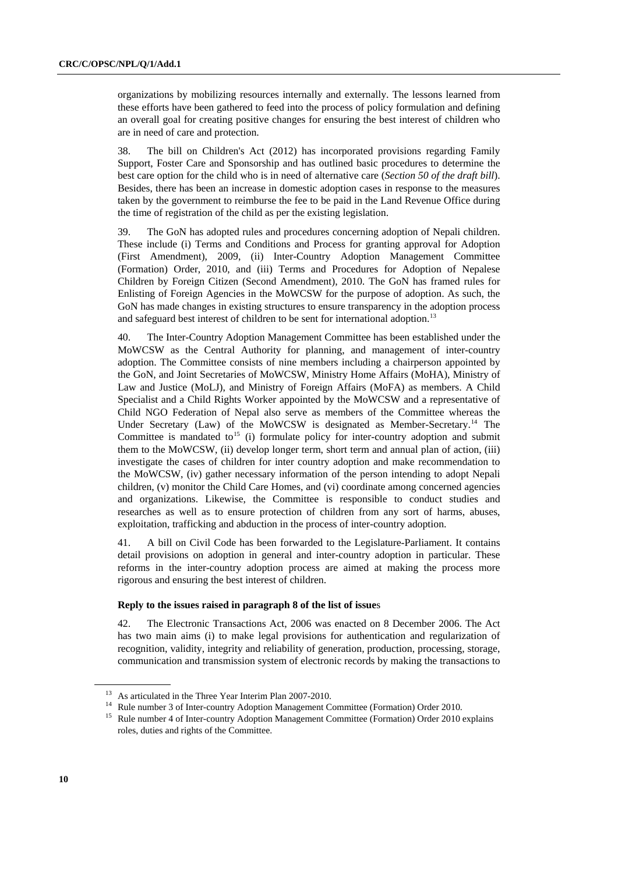organizations by mobilizing resources internally and externally. The lessons learned from these efforts have been gathered to feed into the process of policy formulation and defining an overall goal for creating positive changes for ensuring the best interest of children who are in need of care and protection.

38. The bill on Children's Act (2012) has incorporated provisions regarding Family Support, Foster Care and Sponsorship and has outlined basic procedures to determine the best care option for the child who is in need of alternative care (*Section 50 of the draft bill*). Besides, there has been an increase in domestic adoption cases in response to the measures taken by the government to reimburse the fee to be paid in the Land Revenue Office during the time of registration of the child as per the existing legislation.

39. The GoN has adopted rules and procedures concerning adoption of Nepali children. These include (i) Terms and Conditions and Process for granting approval for Adoption (First Amendment), 2009, (ii) Inter-Country Adoption Management Committee (Formation) Order, 2010, and (iii) Terms and Procedures for Adoption of Nepalese Children by Foreign Citizen (Second Amendment), 2010. The GoN has framed rules for Enlisting of Foreign Agencies in the MoWCSW for the purpose of adoption. As such, the GoN has made changes in existing structures to ensure transparency in the adoption process and safeguard best interest of children to be sent for international adoption.<sup>13</sup>

40. The Inter-Country Adoption Management Committee has been established under the MoWCSW as the Central Authority for planning, and management of inter-country adoption. The Committee consists of nine members including a chairperson appointed by the GoN, and Joint Secretaries of MoWCSW, Ministry Home Affairs (MoHA), Ministry of Law and Justice (MoLJ), and Ministry of Foreign Affairs (MoFA) as members. A Child Specialist and a Child Rights Worker appointed by the MoWCSW and a representative of Child NGO Federation of Nepal also serve as members of the Committee whereas the Under Secretary (Law) of the MoWCSW is designated as Member-Secretary.<sup>14</sup> The Committee is mandated to<sup>15</sup> (i) formulate policy for inter-country adoption and submit them to the MoWCSW, (ii) develop longer term, short term and annual plan of action, (iii) investigate the cases of children for inter country adoption and make recommendation to the MoWCSW, (iv) gather necessary information of the person intending to adopt Nepali children, (v) monitor the Child Care Homes, and (vi) coordinate among concerned agencies and organizations. Likewise, the Committee is responsible to conduct studies and researches as well as to ensure protection of children from any sort of harms, abuses, exploitation, trafficking and abduction in the process of inter-country adoption.

41. A bill on Civil Code has been forwarded to the Legislature-Parliament. It contains detail provisions on adoption in general and inter-country adoption in particular. These reforms in the inter-country adoption process are aimed at making the process more rigorous and ensuring the best interest of children.

## **Reply to the issues raised in paragraph 8 of the list of issue**s

42. The Electronic Transactions Act, 2006 was enacted on 8 December 2006. The Act has two main aims (i) to make legal provisions for authentication and regularization of recognition, validity, integrity and reliability of generation, production, processing, storage, communication and transmission system of electronic records by making the transactions to

 $13$  As articulated in the Three Year Interim Plan 2007-2010.

<sup>&</sup>lt;sup>14</sup> Rule number 3 of Inter-country Adoption Management Committee (Formation) Order 2010.

<sup>&</sup>lt;sup>15</sup> Rule number 4 of Inter-country Adoption Management Committee (Formation) Order 2010 explains roles, duties and rights of the Committee.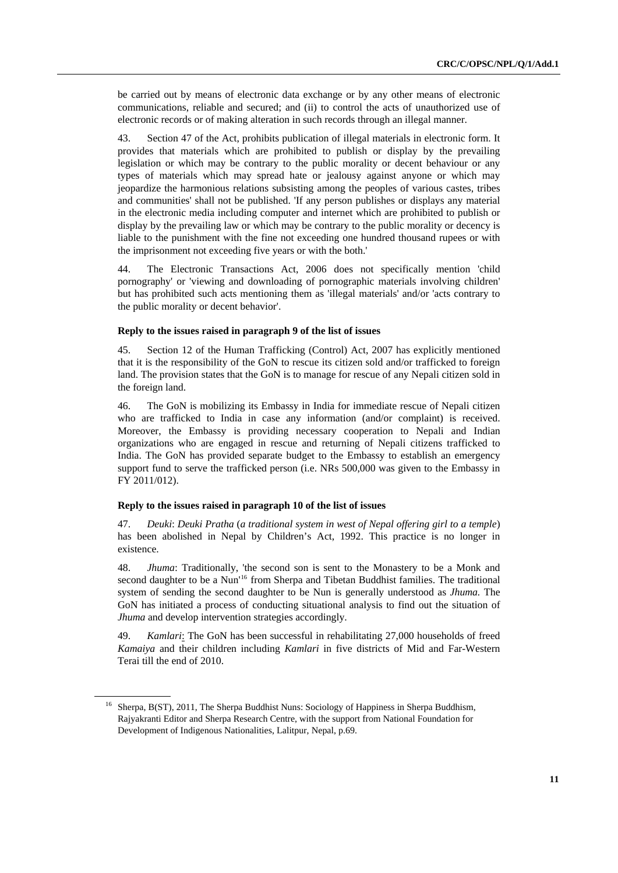be carried out by means of electronic data exchange or by any other means of electronic communications, reliable and secured; and (ii) to control the acts of unauthorized use of electronic records or of making alteration in such records through an illegal manner.

43. Section 47 of the Act, prohibits publication of illegal materials in electronic form. It provides that materials which are prohibited to publish or display by the prevailing legislation or which may be contrary to the public morality or decent behaviour or any types of materials which may spread hate or jealousy against anyone or which may jeopardize the harmonious relations subsisting among the peoples of various castes, tribes and communities' shall not be published. 'If any person publishes or displays any material in the electronic media including computer and internet which are prohibited to publish or display by the prevailing law or which may be contrary to the public morality or decency is liable to the punishment with the fine not exceeding one hundred thousand rupees or with the imprisonment not exceeding five years or with the both.'

44. The Electronic Transactions Act, 2006 does not specifically mention 'child pornography' or 'viewing and downloading of pornographic materials involving children' but has prohibited such acts mentioning them as 'illegal materials' and/or 'acts contrary to the public morality or decent behavior'.

#### **Reply to the issues raised in paragraph 9 of the list of issues**

45. Section 12 of the Human Trafficking (Control) Act, 2007 has explicitly mentioned that it is the responsibility of the GoN to rescue its citizen sold and/or trafficked to foreign land. The provision states that the GoN is to manage for rescue of any Nepali citizen sold in the foreign land.

46. The GoN is mobilizing its Embassy in India for immediate rescue of Nepali citizen who are trafficked to India in case any information (and/or complaint) is received. Moreover, the Embassy is providing necessary cooperation to Nepali and Indian organizations who are engaged in rescue and returning of Nepali citizens trafficked to India. The GoN has provided separate budget to the Embassy to establish an emergency support fund to serve the trafficked person (i.e. NRs 500,000 was given to the Embassy in FY 2011/012).

## **Reply to the issues raised in paragraph 10 of the list of issues**

47. *Deuki*: *Deuki Pratha* (*a traditional system in west of Nepal offering girl to a temple*) has been abolished in Nepal by Children's Act, 1992. This practice is no longer in existence.

48. *Jhuma*: Traditionally, 'the second son is sent to the Monastery to be a Monk and second daughter to be a Nun<sup>'16</sup> from Sherpa and Tibetan Buddhist families. The traditional system of sending the second daughter to be Nun is generally understood as *Jhuma.* The GoN has initiated a process of conducting situational analysis to find out the situation of *Jhuma* and develop intervention strategies accordingly.

49. *Kamlari*: The GoN has been successful in rehabilitating 27,000 households of freed *Kamaiya* and their children including *Kamlari* in five districts of Mid and Far-Western Terai till the end of 2010.

<sup>&</sup>lt;sup>16</sup> Sherpa, B(ST), 2011, The Sherpa Buddhist Nuns: Sociology of Happiness in Sherpa Buddhism, Rajyakranti Editor and Sherpa Research Centre, with the support from National Foundation for Development of Indigenous Nationalities, Lalitpur, Nepal, p.69.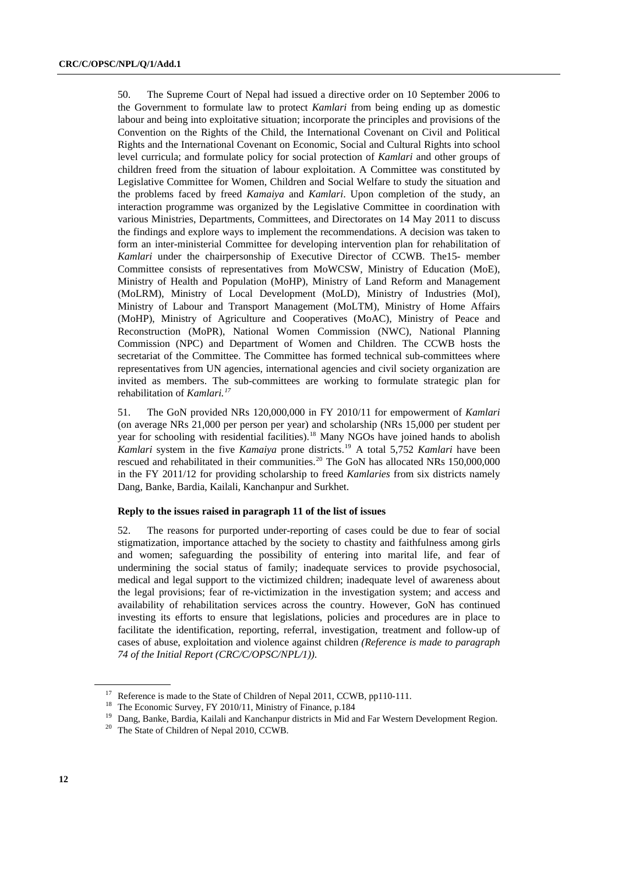50. The Supreme Court of Nepal had issued a directive order on 10 September 2006 to the Government to formulate law to protect *Kamlari* from being ending up as domestic labour and being into exploitative situation; incorporate the principles and provisions of the Convention on the Rights of the Child, the International Covenant on Civil and Political Rights and the International Covenant on Economic, Social and Cultural Rights into school level curricula; and formulate policy for social protection of *Kamlari* and other groups of children freed from the situation of labour exploitation. A Committee was constituted by Legislative Committee for Women, Children and Social Welfare to study the situation and the problems faced by freed *Kamaiya* and *Kamlari*. Upon completion of the study, an interaction programme was organized by the Legislative Committee in coordination with various Ministries, Departments, Committees, and Directorates on 14 May 2011 to discuss the findings and explore ways to implement the recommendations. A decision was taken to form an inter-ministerial Committee for developing intervention plan for rehabilitation of *Kamlari* under the chairpersonship of Executive Director of CCWB. The15- member Committee consists of representatives from MoWCSW, Ministry of Education (MoE), Ministry of Health and Population (MoHP), Ministry of Land Reform and Management (MoLRM), Ministry of Local Development (MoLD), Ministry of Industries (MoI), Ministry of Labour and Transport Management (MoLTM), Ministry of Home Affairs (MoHP), Ministry of Agriculture and Cooperatives (MoAC), Ministry of Peace and Reconstruction (MoPR), National Women Commission (NWC), National Planning Commission (NPC) and Department of Women and Children. The CCWB hosts the secretariat of the Committee. The Committee has formed technical sub-committees where representatives from UN agencies, international agencies and civil society organization are invited as members. The sub-committees are working to formulate strategic plan for rehabilitation of *Kamlari*.<sup>17</sup>

51. The GoN provided NRs 120,000,000 in FY 2010/11 for empowerment of *Kamlari* (on average NRs 21,000 per person per year) and scholarship (NRs 15,000 per student per year for schooling with residential facilities).<sup>18</sup> Many NGOs have joined hands to abolish *Kamlari* system in the five *Kamaiya* prone districts.<sup>19</sup> A total 5,752 *Kamlari* have been rescued and rehabilitated in their communities.<sup>20</sup> The GoN has allocated NRs  $150,000,000$ in the FY 2011/12 for providing scholarship to freed *Kamlaries* from six districts namely Dang, Banke, Bardia, Kailali, Kanchanpur and Surkhet.

## **Reply to the issues raised in paragraph 11 of the list of issues**

52. The reasons for purported under-reporting of cases could be due to fear of social stigmatization, importance attached by the society to chastity and faithfulness among girls and women; safeguarding the possibility of entering into marital life, and fear of undermining the social status of family; inadequate services to provide psychosocial, medical and legal support to the victimized children; inadequate level of awareness about the legal provisions; fear of re-victimization in the investigation system; and access and availability of rehabilitation services across the country. However, GoN has continued investing its efforts to ensure that legislations, policies and procedures are in place to facilitate the identification, reporting, referral, investigation, treatment and follow-up of cases of abuse, exploitation and violence against children *(Reference is made to paragraph 74 of the Initial Report (CRC/C/OPSC/NPL/1))*.

<sup>&</sup>lt;sup>17</sup> Reference is made to the State of Children of Nepal 2011, CCWB, pp110-111.

<sup>&</sup>lt;sup>18</sup> The Economic Survey, FY 2010/11, Ministry of Finance, p.184

<sup>&</sup>lt;sup>19</sup> Dang, Banke, Bardia, Kailali and Kanchanpur districts in Mid and Far Western Development Region.

 $20$  The State of Children of Nepal 2010, CCWB.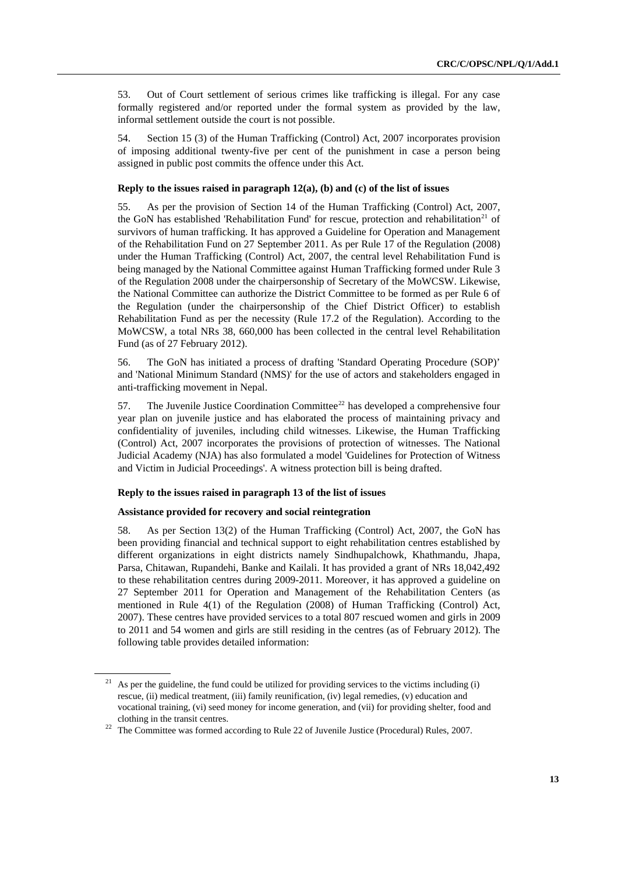53. Out of Court settlement of serious crimes like trafficking is illegal. For any case formally registered and/or reported under the formal system as provided by the law, informal settlement outside the court is not possible.

54. Section 15 (3) of the Human Trafficking (Control) Act, 2007 incorporates provision of imposing additional twenty-five per cent of the punishment in case a person being assigned in public post commits the offence under this Act.

### **Reply to the issues raised in paragraph 12(a), (b) and (c) of the list of issues**

55. As per the provision of Section 14 of the Human Trafficking (Control) Act, 2007, the GoN has established 'Rehabilitation Fund' for rescue, protection and rehabilitation<sup>21</sup> of survivors of human trafficking. It has approved a Guideline for Operation and Management of the Rehabilitation Fund on 27 September 2011. As per Rule 17 of the Regulation (2008) under the Human Trafficking (Control) Act, 2007, the central level Rehabilitation Fund is being managed by the National Committee against Human Trafficking formed under Rule 3 of the Regulation 2008 under the chairpersonship of Secretary of the MoWCSW. Likewise, the National Committee can authorize the District Committee to be formed as per Rule 6 of the Regulation (under the chairpersonship of the Chief District Officer) to establish Rehabilitation Fund as per the necessity (Rule 17.2 of the Regulation). According to the MoWCSW, a total NRs 38, 660,000 has been collected in the central level Rehabilitation Fund (as of 27 February 2012).

56. The GoN has initiated a process of drafting 'Standard Operating Procedure (SOP)' and 'National Minimum Standard (NMS)' for the use of actors and stakeholders engaged in anti-trafficking movement in Nepal.

57. The Juvenile Justice Coordination Committee<sup>22</sup> has developed a comprehensive four year plan on juvenile justice and has elaborated the process of maintaining privacy and confidentiality of juveniles, including child witnesses. Likewise, the Human Trafficking (Control) Act, 2007 incorporates the provisions of protection of witnesses. The National Judicial Academy (NJA) has also formulated a model 'Guidelines for Protection of Witness and Victim in Judicial Proceedings'. A witness protection bill is being drafted.

## **Reply to the issues raised in paragraph 13 of the list of issues**

## **Assistance provided for recovery and social reintegration**

58. As per Section 13(2) of the Human Trafficking (Control) Act, 2007, the GoN has been providing financial and technical support to eight rehabilitation centres established by different organizations in eight districts namely Sindhupalchowk, Khathmandu, Jhapa, Parsa, Chitawan, Rupandehi, Banke and Kailali. It has provided a grant of NRs 18,042,492 to these rehabilitation centres during 2009-2011. Moreover, it has approved a guideline on 27 September 2011 for Operation and Management of the Rehabilitation Centers (as mentioned in Rule 4(1) of the Regulation (2008) of Human Trafficking (Control) Act, 2007). These centres have provided services to a total 807 rescued women and girls in 2009 to 2011 and 54 women and girls are still residing in the centres (as of February 2012). The following table provides detailed information:

<sup>21</sup>As per the guideline, the fund could be utilized for providing services to the victims including (i) rescue, (ii) medical treatment, (iii) family reunification, (iv) legal remedies, (v) education and vocational training, (vi) seed money for income generation, and (vii) for providing shelter, food and clothing in the transit centres.

 $22$  The Committee was formed according to Rule 22 of Juvenile Justice (Procedural) Rules, 2007.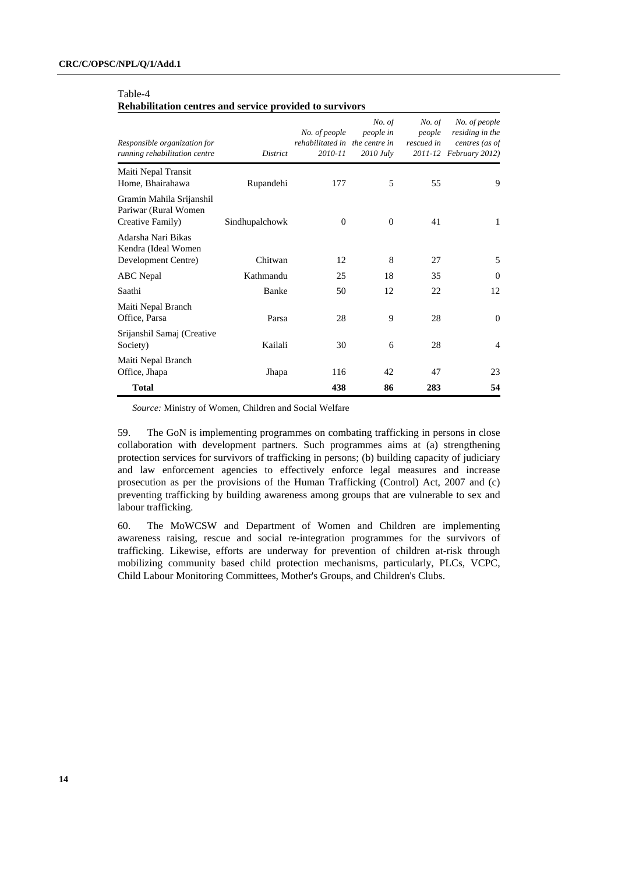## Table-4

#### **Rehabilitation centres and service provided to survivors**

| Responsible organization for<br>running rehabilitation centre         | <b>District</b> | No. of people<br>rehabilitated in the centre in<br>2010-11 | No. of<br>people in<br>$2010$ July | No. of<br>people<br>rescued in | No. of people<br>residing in the<br>centres (as of<br>2011-12 February 2012) |
|-----------------------------------------------------------------------|-----------------|------------------------------------------------------------|------------------------------------|--------------------------------|------------------------------------------------------------------------------|
| Maiti Nepal Transit<br>Home, Bhairahawa                               | Rupandehi       | 177                                                        | 5                                  | 55                             | 9                                                                            |
| Gramin Mahila Srijanshil<br>Pariwar (Rural Women)<br>Creative Family) | Sindhupalchowk  | $\theta$                                                   | $\overline{0}$                     | 41                             | 1                                                                            |
| Adarsha Nari Bikas<br>Kendra (Ideal Women<br>Development Centre)      | Chitwan         | 12                                                         | 8                                  | 27                             | 5                                                                            |
| <b>ABC</b> Nepal                                                      | Kathmandu       | 25                                                         | 18                                 | 35                             | $\Omega$                                                                     |
| Saathi                                                                | Banke           | 50                                                         | 12                                 | 22                             | 12                                                                           |
| Maiti Nepal Branch<br>Office, Parsa                                   | Parsa           | 28                                                         | 9                                  | 28                             | $\Omega$                                                                     |
| Srijanshil Samaj (Creative<br>Society)                                | Kailali         | 30                                                         | 6                                  | 28                             | 4                                                                            |
| Maiti Nepal Branch<br>Office, Jhapa                                   | Jhapa           | 116                                                        | 42                                 | 47                             | 23                                                                           |
| <b>Total</b>                                                          |                 | 438                                                        | 86                                 | 283                            | 54                                                                           |

*Source:* Ministry of Women, Children and Social Welfare

59. The GoN is implementing programmes on combating trafficking in persons in close collaboration with development partners. Such programmes aims at (a) strengthening protection services for survivors of trafficking in persons; (b) building capacity of judiciary and law enforcement agencies to effectively enforce legal measures and increase prosecution as per the provisions of the Human Trafficking (Control) Act, 2007 and (c) preventing trafficking by building awareness among groups that are vulnerable to sex and labour trafficking.

60. The MoWCSW and Department of Women and Children are implementing awareness raising, rescue and social re-integration programmes for the survivors of trafficking. Likewise, efforts are underway for prevention of children at-risk through mobilizing community based child protection mechanisms, particularly, PLCs, VCPC, Child Labour Monitoring Committees, Mother's Groups, and Children's Clubs.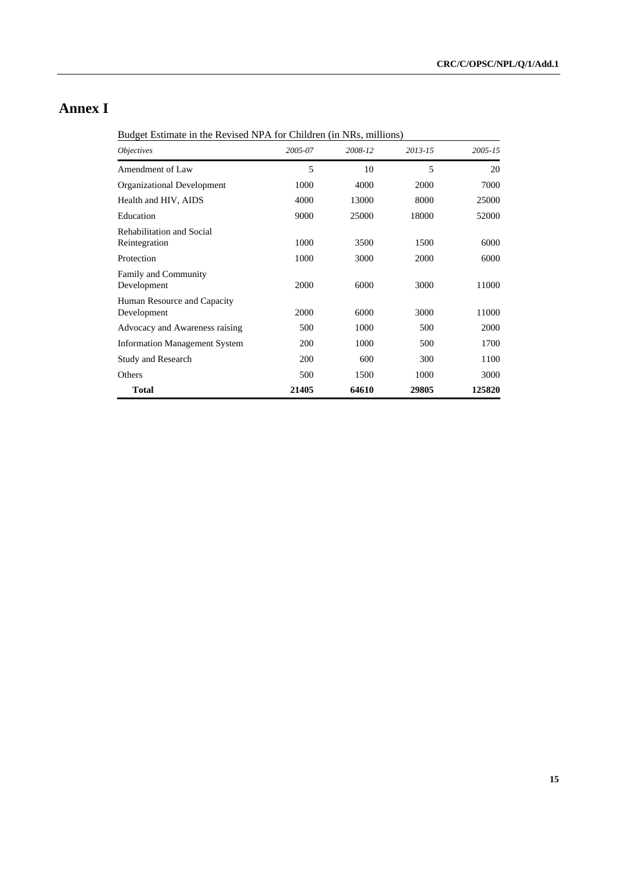# **Annex I**

Budget Estimate in the Revised NPA for Children (in NRs, millions)

| <i><b>Objectives</b></i>                   | 2005-07    | 2008-12 | $2013 - 15$ | $2005 - 15$ |
|--------------------------------------------|------------|---------|-------------|-------------|
| Amendment of Law                           | 5          | 10      | 5           | 20          |
| Organizational Development                 | 1000       | 4000    | 2000        | 7000        |
| Health and HIV, AIDS                       | 4000       | 13000   | 8000        | 25000       |
| Education                                  | 9000       | 25000   | 18000       | 52000       |
| Rehabilitation and Social<br>Reintegration | 1000       | 3500    | 1500        | 6000        |
| Protection                                 | 1000       | 3000    | 2000        | 6000        |
| Family and Community<br>Development        | 2000       | 6000    | 3000        | 11000       |
| Human Resource and Capacity<br>Development | 2000       | 6000    | 3000        | 11000       |
| Advocacy and Awareness raising             | 500        | 1000    | 500         | 2000        |
| <b>Information Management System</b>       | <b>200</b> | 1000    | 500         | 1700        |
| <b>Study and Research</b>                  | 200        | 600     | 300         | 1100        |
| Others                                     | 500        | 1500    | 1000        | 3000        |
| <b>Total</b>                               | 21405      | 64610   | 29805       | 125820      |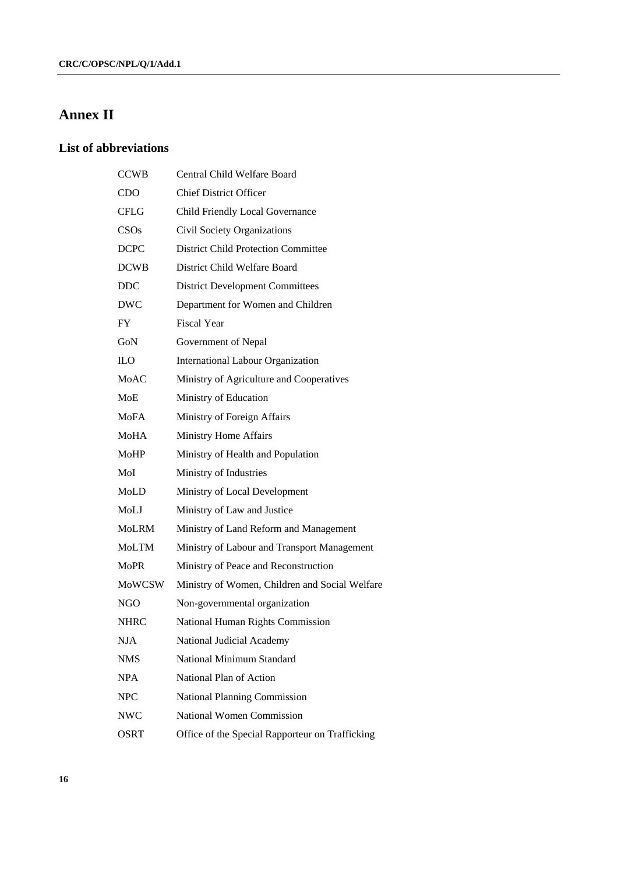# **Annex II**

## **List of abbreviations**

| <b>CCWB</b>   | Central Child Welfare Board                     |
|---------------|-------------------------------------------------|
| <b>CDO</b>    | <b>Chief District Officer</b>                   |
| CFLG          | Child Friendly Local Governance                 |
| CSOs          | Civil Society Organizations                     |
| <b>DCPC</b>   | <b>District Child Protection Committee</b>      |
| <b>DCWB</b>   | District Child Welfare Board                    |
| <b>DDC</b>    | <b>District Development Committees</b>          |
| DWC           | Department for Women and Children               |
| FY            | <b>Fiscal Year</b>                              |
| GoN           | Government of Nepal                             |
| ILО           | International Labour Organization               |
| <b>MoAC</b>   | Ministry of Agriculture and Cooperatives        |
| MoE           | Ministry of Education                           |
| <b>MoFA</b>   | Ministry of Foreign Affairs                     |
| MoHA          | Ministry Home Affairs                           |
| MoHP          | Ministry of Health and Population               |
| MoI           | Ministry of Industries                          |
| MoLD          | Ministry of Local Development                   |
| MoLJ          | Ministry of Law and Justice                     |
| MoLRM         | Ministry of Land Reform and Management          |
| MoLTM         | Ministry of Labour and Transport Management     |
| <b>MoPR</b>   | Ministry of Peace and Reconstruction            |
| <b>MoWCSW</b> | Ministry of Women, Children and Social Welfare  |
| NGO.          | Non-governmental organization                   |
| NHRC          | National Human Rights Commission                |
| <b>NJA</b>    | National Judicial Academy                       |
| <b>NMS</b>    | National Minimum Standard                       |
| <b>NPA</b>    | National Plan of Action                         |
| <b>NPC</b>    | <b>National Planning Commission</b>             |
| <b>NWC</b>    | <b>National Women Commission</b>                |
| OSRT          | Office of the Special Rapporteur on Trafficking |